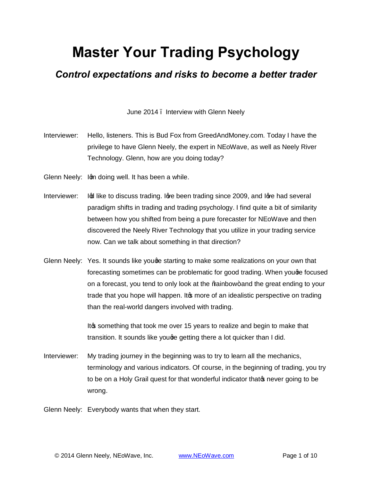## **Master Your Trading Psychology**

## *Control expectations and risks to become a better trader*

June 2014 – Interview with Glenn Neely

- Interviewer: Hello, listeners. This is Bud Fox from GreedAndMoney.com. Today I have the privilege to have Glenn Neely, the expert in NEoWave, as well as Neely River Technology. Glenn, how are you doing today?
- Glenn Neely: Ign doing well. It has been a while.
- Interviewer: In like to discuss trading. I are been trading since 2009, and I are had several paradigm shifts in trading and trading psychology. I find quite a bit of similarity between how you shifted from being a pure forecaster for NEoWave and then discovered the Neely River Technology that you utilize in your trading service now. Can we talk about something in that direction?
- Glenn Neely: Yes. It sounds like youge starting to make some realizations on your own that forecasting sometimes can be problematic for good trading. When youge focused on a forecast, you tend to only look at the %ainbow+ and the great ending to your trade that you hope will happen. Its more of an idealistic perspective on trading than the real-world dangers involved with trading.

It something that took me over 15 years to realize and begin to make that transition. It sounds like youge getting there a lot quicker than I did.

Interviewer: My trading journey in the beginning was to try to learn all the mechanics, terminology and various indicators. Of course, in the beginning of trading, you try to be on a Holy Grail quest for that wonderful indicator that prover going to be wrong.

Glenn Neely: Everybody wants that when they start.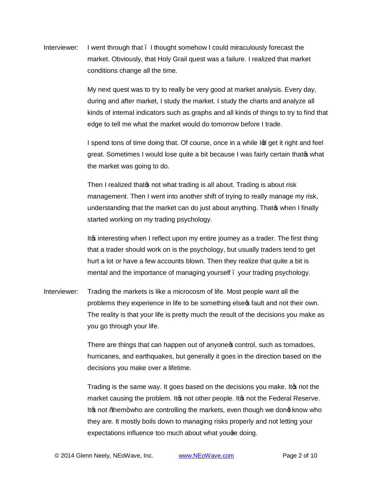Interviewer: I went through that – I thought somehow I could miraculously forecast the market. Obviously, that Holy Grail quest was a failure. I realized that market conditions change all the time.

> My next quest was to try to really be very good at market analysis. Every day, during and after market, I study the market. I study the charts and analyze all kinds of internal indicators such as graphs and all kinds of things to try to find that edge to tell me what the market would do tomorrow before I trade.

I spend tons of time doing that. Of course, once in a while In get it right and feel great. Sometimes I would lose quite a bit because I was fairly certain that that what the market was going to do.

Then I realized that on t what trading is all about. Trading is about risk management. Then I went into another shift of trying to really manage my risk, understanding that the market can do just about anything. That when I finally started working on my trading psychology.

It interesting when I reflect upon my entire journey as a trader. The first thing that a trader should work on is the psychology, but usually traders tend to get hurt a lot or have a few accounts blown. Then they realize that quite a bit is mental and the importance of managing yourself. your trading psychology.

Interviewer: Trading the markets is like a microcosm of life. Most people want all the problems they experience in life to be something else optional and not their own. The reality is that your life is pretty much the result of the decisions you make as you go through your life.

> There are things that can happen out of anyone control, such as tornadoes, hurricanes, and earthquakes, but generally it goes in the direction based on the decisions you make over a lifetime.

> Trading is the same way. It goes based on the decisions you make. It is not the market causing the problem. It is not other people. It is not the Federal Reserve. It to not "them + who are controlling the markets, even though we dong know who they are. It mostly boils down to managing risks properly and not letting your expectations influence too much about what you ge doing.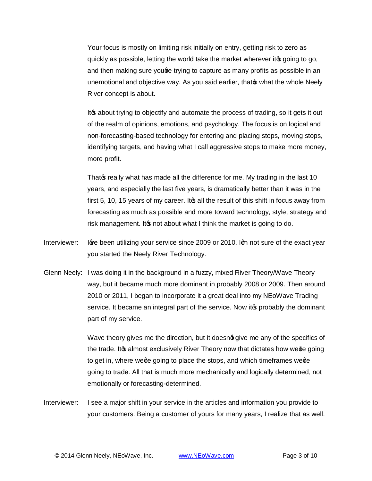Your focus is mostly on limiting risk initially on entry, getting risk to zero as quickly as possible, letting the world take the market wherever it to going to go, and then making sure youge trying to capture as many profits as possible in an unemotional and objective way. As you said earlier, thato what the whole Neely River concept is about.

Ito about trying to objectify and automate the process of trading, so it gets it out of the realm of opinions, emotions, and psychology. The focus is on logical and non-forecasting-based technology for entering and placing stops, moving stops, identifying targets, and having what I call aggressive stops to make more money, more profit.

That of really what has made all the difference for me. My trading in the last 10 years, and especially the last five years, is dramatically better than it was in the first 5, 10, 15 years of my career. It a all the result of this shift in focus away from forecasting as much as possible and more toward technology, style, strategy and risk management. It pnot about what I think the market is going to do.

- Interviewer: love been utilizing your service since 2009 or 2010. Iom not sure of the exact year you started the Neely River Technology.
- Glenn Neely: I was doing it in the background in a fuzzy, mixed River Theory/Wave Theory way, but it became much more dominant in probably 2008 or 2009. Then around 2010 or 2011, I began to incorporate it a great deal into my NEoWave Trading service. It became an integral part of the service. Now it oprobably the dominant part of my service.

Wave theory gives me the direction, but it doesnot give me any of the specifics of the trade. It almost exclusively River Theory now that dictates how we alle going to get in, where we going to place the stops, and which time frames we ge going to trade. All that is much more mechanically and logically determined, not emotionally or forecasting-determined.

Interviewer: I see a major shift in your service in the articles and information you provide to your customers. Being a customer of yours for many years, I realize that as well.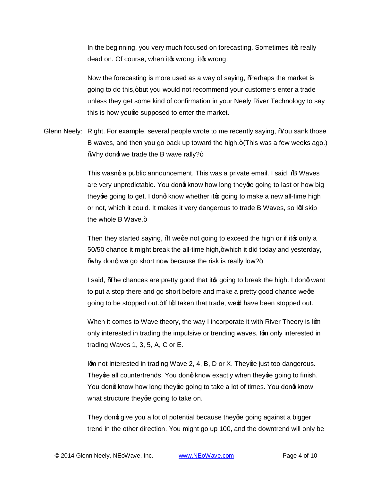In the beginning, you very much focused on forecasting. Sometimes it to really dead on. Of course, when it wrong, it wrong.

Now the forecasting is more used as a way of saying, **Regation State market is** going to do this, +but you would not recommend your customers enter a trade unless they get some kind of confirmation in your Neely River Technology to say this is how youge supposed to enter the market.

Glenn Neely: Right. For example, several people wrote to me recently saying, % ou sank those B waves, and then you go back up toward the high. + (This was a few weeks ago.) Why dong we trade the B wave rally?+

> This wasnot a public announcement. This was a private email. I said, % Waves are very unpredictable. You dong know how long they going to last or how big they going to get. I dong know whether it a going to make a new all-time high or not, which it could. It makes it very dangerous to trade B Waves, so lod skip the whole  $B$  Wave. $+$

Then they started saying, % we we not going to exceed the high or if it to only a  $50/50$  chance it might break the all-time high, $+$ which it did today and yesterday, "why dong we go short now because the risk is really low? $+$ 

I said, *M*<sub>c</sub>he chances are pretty good that it to going to break the high. I dong want to put a stop there and go short before and make a pretty good chance wege going to be stopped out. If Ind taken that trade, were have been stopped out.

When it comes to Wave theory, the way I incorporate it with River Theory is Ign only interested in trading the impulsive or trending waves. Iom only interested in trading Waves 1, 3, 5, A, C or E.

Ign not interested in trading Wave 2, 4, B, D or X. They ge just too dangerous. They ge all countertrends. You dong know exactly when they going to finish. You dong know how long they going to take a lot of times. You dong know what structure they ge going to take on.

They dond give you a lot of potential because they going against a bigger trend in the other direction. You might go up 100, and the downtrend will only be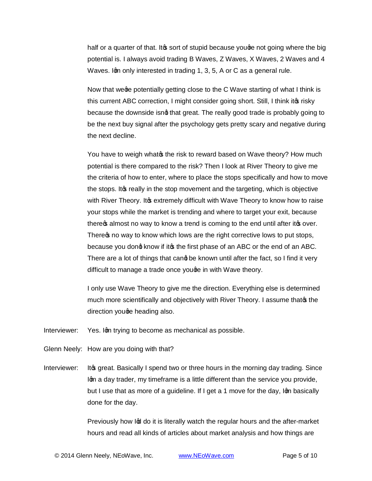half or a quarter of that. It the sort of stupid because youge not going where the big potential is. I always avoid trading B Waves, Z Waves, X Waves, 2 Waves and 4 Waves. Iom only interested in trading 1, 3, 5, A or C as a general rule.

Now that wege potentially getting close to the C Wave starting of what I think is this current ABC correction, I might consider going short. Still, I think it the risky because the downside isng that great. The really good trade is probably going to be the next buy signal after the psychology gets pretty scary and negative during the next decline.

You have to weigh whatos the risk to reward based on Wave theory? How much potential is there compared to the risk? Then I look at River Theory to give me the criteria of how to enter, where to place the stops specifically and how to move the stops. It the really in the stop movement and the targeting, which is objective with River Theory. It the extremely difficult with Wave Theory to know how to raise your stops while the market is trending and where to target your exit, because there a almost no way to know a trend is coming to the end until after it to over. There to may to know which lows are the right corrective lows to put stops, because you dong know if it t the first phase of an ABC or the end of an ABC. There are a lot of things that cand be known until after the fact, so I find it very difficult to manage a trade once youge in with Wave theory.

I only use Wave Theory to give me the direction. Everything else is determined much more scientifically and objectively with River Theory. I assume thatos the direction youge heading also.

Interviewer: Yes. Ign trying to become as mechanical as possible.

Glenn Neely: How are you doing with that?

Interviewer: It is great. Basically I spend two or three hours in the morning day trading. Since Igm a day trader, my timeframe is a little different than the service you provide, but I use that as more of a guideline. If I get a 1 move for the day, Iom basically done for the day.

> Previously how Ind do it is literally watch the regular hours and the after-market hours and read all kinds of articles about market analysis and how things are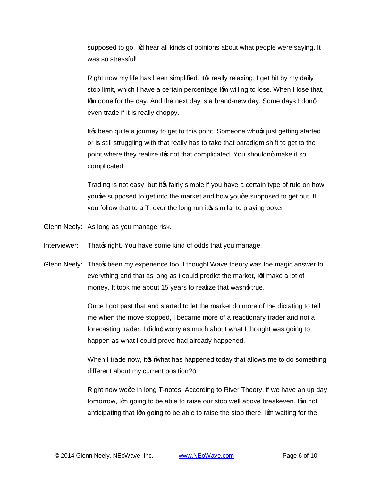supposed to go. In thear all kinds of opinions about what people were saying. It was so stressful!

Right now my life has been simplified. It os really relaxing. I get hit by my daily stop limit, which I have a certain percentage Ign willing to lose. When I lose that, Igm done for the day. And the next day is a brand-new day. Some days I dong even trade if it is really choppy.

It<sub>s</sub> been quite a journey to get to this point. Someone whose just getting started or is still struggling with that really has to take that paradigm shift to get to the point where they realize it ts not that complicated. You shouldne make it so complicated.

Trading is not easy, but it to fairly simple if you have a certain type of rule on how youge supposed to get into the market and how youge supposed to get out. If you follow that to a T, over the long run its similar to playing poker.

Glenn Neely: As long as you manage risk.

Interviewer: That is right. You have some kind of odds that you manage.

Glenn Neely: That the been my experience too. I thought Wave theory was the magic answer to everything and that as long as I could predict the market, Independent of the equal to the equal to the market. money. It took me about 15 years to realize that wasnd true.

> Once I got past that and started to let the market do more of the dictating to tell me when the move stopped, I became more of a reactionary trader and not a forecasting trader. I didnot worry as much about what I thought was going to happen as what I could prove had already happened.

When I trade now, it  $\mathcal{L}$  what has happened today that allows me to do something different about my current position? $+$ 

Right now wege in long T-notes. According to River Theory, if we have an up day tomorrow, Ign going to be able to raise our stop well above breakeven. Ign not anticipating that Ign going to be able to raise the stop there. Ign waiting for the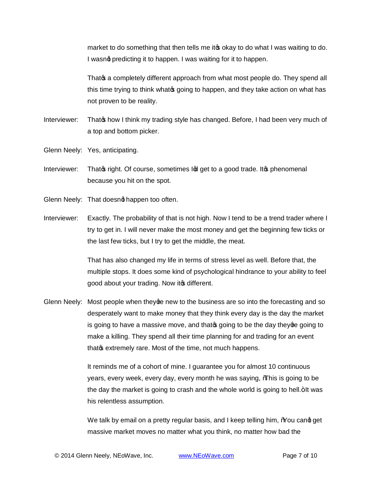market to do something that then tells me it to okay to do what I was waiting to do. I wasnot predicting it to happen. I was waiting for it to happen.

That **s** a completely different approach from what most people do. They spend all this time trying to think what opting to happen, and they take action on what has not proven to be reality.

- Interviewer: That op how I think my trading style has changed. Before, I had been very much of a top and bottom picker.
- Glenn Neely: Yes, anticipating.
- Interviewer: That of right. Of course, sometimes Indeget to a good trade. It ophenomenal because you hit on the spot.
- Glenn Neely: That doesnot happen too often.
- Interviewer: Exactly. The probability of that is not high. Now I tend to be a trend trader where I try to get in. I will never make the most money and get the beginning few ticks or the last few ticks, but I try to get the middle, the meat.

That has also changed my life in terms of stress level as well. Before that, the multiple stops. It does some kind of psychological hindrance to your ability to feel good about your trading. Now it of different.

Glenn Neely: Most people when they ge new to the business are so into the forecasting and so desperately want to make money that they think every day is the day the market is going to have a massive move, and that ogoing to be the day they ge going to make a killing. They spend all their time planning for and trading for an event that of extremely rare. Most of the time, not much happens.

> It reminds me of a cohort of mine. I guarantee you for almost 10 continuous years, every week, every day, every month he was saying, "This is going to be the day the market is going to crash and the whole world is going to hell. + It was his relentless assumption.

> We talk by email on a pretty regular basis, and I keep telling him, % ou cand get massive market moves no matter what you think, no matter how bad the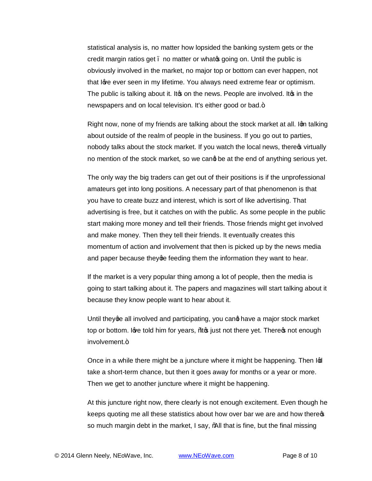statistical analysis is, no matter how lopsided the banking system gets or the credit margin ratios get . no matter or what a going on. Until the public is obviously involved in the market, no major top or bottom can ever happen, not that love ever seen in my lifetime. You always need extreme fear or optimism. The public is talking about it. It is on the news. People are involved. It in the newspapers and on local television. It's either good or bad.+

Right now, none of my friends are talking about the stock market at all. Ign talking about outside of the realm of people in the business. If you go out to parties, nobody talks about the stock market. If you watch the local news, there wo virtually no mention of the stock market, so we cand be at the end of anything serious yet.

The only way the big traders can get out of their positions is if the unprofessional amateurs get into long positions. A necessary part of that phenomenon is that you have to create buzz and interest, which is sort of like advertising. That advertising is free, but it catches on with the public. As some people in the public start making more money and tell their friends. Those friends might get involved and make money. Then they tell their friends. It eventually creates this momentum of action and involvement that then is picked up by the news media and paper because they ge feeding them the information they want to hear.

If the market is a very popular thing among a lot of people, then the media is going to start talking about it. The papers and magazines will start talking about it because they know people want to hear about it.

Until they ge all involved and participating, you cang have a major stock market top or bottom. Iwe told him for years, %top just not there yet. There of not enough involvement.+

Once in a while there might be a juncture where it might be happening. Then  $I\varphi$ take a short-term chance, but then it goes away for months or a year or more. Then we get to another juncture where it might be happening.

At this juncture right now, there clearly is not enough excitement. Even though he keeps quoting me all these statistics about how over bar we are and how there  $\phi$ so much margin debt in the market, I say, "All that is fine, but the final missing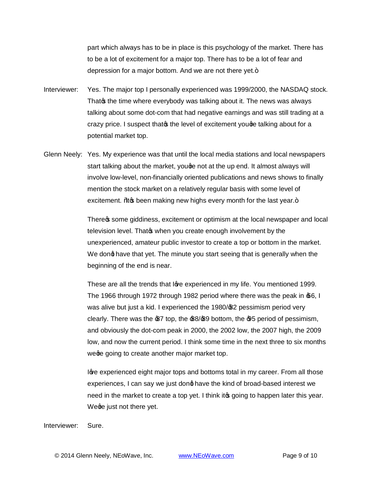part which always has to be in place is this psychology of the market. There has to be a lot of excitement for a major top. There has to be a lot of fear and depression for a major bottom. And we are not there yet. $+$ 

- Interviewer: Yes. The major top I personally experienced was 1999/2000, the NASDAQ stock. That the time where everybody was talking about it. The news was always talking about some dot-com that had negative earnings and was still trading at a crazy price. I suspect that the level of excitement you ge talking about for a potential market top.
- Glenn Neely: Yes. My experience was that until the local media stations and local newspapers start talking about the market, youge not at the up end. It almost always will involve low-level, non-financially oriented publications and news shows to finally mention the stock market on a relatively regular basis with some level of excitement. Was been making new highs every month for the last year.+

There the some giddiness, excitement or optimism at the local newspaper and local television level. That when you create enough involvement by the unexperienced, amateur public investor to create a top or bottom in the market. We dong have that yet. The minute you start seeing that is generally when the beginning of the end is near.

These are all the trends that Ige experienced in my life. You mentioned 1999. The 1966 through 1972 through 1982 period where there was the peak in  $66, 1$ was alive but just a kid. I experienced the 1980/\$2 pessimism period very clearly. There was the  $\mathcal{B}7$  top, the  $\mathcal{B}8/\mathcal{B}9$  bottom, the  $\mathcal{B}5$  period of pessimism, and obviously the dot-com peak in 2000, the 2002 low, the 2007 high, the 2009 low, and now the current period. I think some time in the next three to six months we going to create another major market top.

loye experienced eight major tops and bottoms total in my career. From all those experiences, I can say we just dong have the kind of broad-based interest we need in the market to create a top yet. I think it going to happen later this year. Wege just not there yet.

Interviewer: Sure.